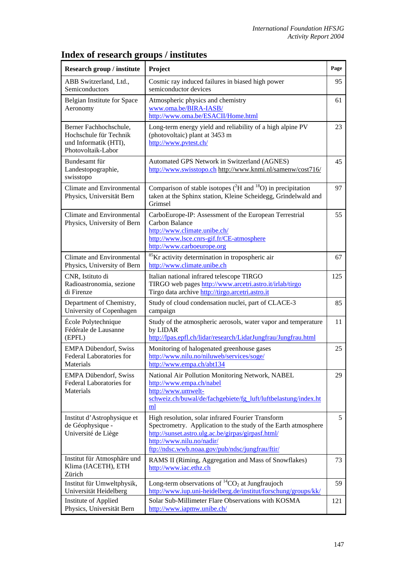| Research group / institute                                                                      | Project                                                                                                                                                                                                                                                   | Page |
|-------------------------------------------------------------------------------------------------|-----------------------------------------------------------------------------------------------------------------------------------------------------------------------------------------------------------------------------------------------------------|------|
| ABB Switzerland, Ltd.,<br>Semiconductors                                                        | Cosmic ray induced failures in biased high power<br>semiconductor devices                                                                                                                                                                                 | 95   |
| Belgian Institute for Space<br>Aeronomy                                                         | Atmospheric physics and chemistry<br>www.oma.be/BIRA-IASB/<br>http://www.oma.be/ESACII/Home.html                                                                                                                                                          | 61   |
| Berner Fachhochschule,<br>Hochschule für Technik<br>und Informatik (HTI),<br>Photovoltaik-Labor | Long-term energy yield and reliability of a high alpine PV<br>(photovoltaic) plant at 3453 m<br>http://www.pvtest.ch/                                                                                                                                     | 23   |
| Bundesamt für<br>Landestopographie,<br>swisstopo                                                | Automated GPS Network in Switzerland (AGNES)<br>http://www.swisstopo.ch http://www.knmi.nl/samenw/cost716/                                                                                                                                                | 45   |
| Climate and Environmental<br>Physics, Universität Bern                                          | Comparison of stable isotopes $(^{2}H$ and $^{18}O$ ) in precipitation<br>taken at the Sphinx station, Kleine Scheidegg, Grindelwald and<br>Grimsel                                                                                                       | 97   |
| Climate and Environmental<br>Physics, University of Bern                                        | CarboEurope-IP: Assessment of the European Terrestrial<br>Carbon Balance<br>http://www.climate.unibe.ch/<br>http://www.lsce.cnrs-gif.fr/CE-atmosphere<br>http://www.carboeurope.org                                                                       | 55   |
| Climate and Environmental<br>Physics, University of Bern                                        | <sup>85</sup> Kr activity determination in tropospheric air<br>http://www.climate.unibe.ch                                                                                                                                                                | 67   |
| CNR, Istituto di<br>Radioastronomia, sezione<br>di Firenze                                      | Italian national infrared telescope TIRGO<br>TIRGO web pages http://www.arcetri.astro.it/irlab/tirgo<br>Tirgo data archive http://tirgo.arcetri.astro.it                                                                                                  | 125  |
| Department of Chemistry,<br>University of Copenhagen                                            | Study of cloud condensation nuclei, part of CLACE-3<br>campaign                                                                                                                                                                                           | 85   |
| École Polytechnique<br>Fédérale de Lausanne<br>(EPFL)                                           | Study of the atmospheric aerosols, water vapor and temperature<br>by LIDAR<br>http://lpas.epfl.ch/lidar/research/LidarJungfrau/Jungfrau.html                                                                                                              | 11   |
| <b>EMPA Dübendorf, Swiss</b><br>Federal Laboratories for<br>Materials                           | Monitoring of halogenated greenhouse gases<br>http://www.nilu.no/niluweb/services/soge/<br>http://www.empa.ch/abt134                                                                                                                                      | 25   |
| <b>EMPA Dübendorf, Swiss</b><br>Federal Laboratories for<br>Materials                           | National Air Pollution Monitoring Network, NABEL<br>http://www.empa.ch/nabel<br>http://www.umwelt-<br>schweiz.ch/buwal/de/fachgebiete/fg luft/luftbelastung/index.ht<br>ml                                                                                | 29   |
| Institut d'Astrophysique et<br>de Géophysique -<br>Université de Liège                          | High resolution, solar infrared Fourier Transform<br>Spectrometry. Application to the study of the Earth atmosphere<br>http://sunset.astro.ulg.ac.be/girpas/girpasf.html/<br>http://www.nilu.no/nadir/<br>ftp://ndsc.wwb.noaa.gov/pub/ndsc/jungfrau/ftir/ | 5    |
| Institut für Atmosphäre und<br>Klima (IACETH), ETH<br>Zürich                                    | RAMS II (Riming, Aggregation and Mass of Snowflakes)<br>http://www.iac.ethz.ch                                                                                                                                                                            | 73   |
| Institut für Umweltphysik,<br>Universität Heidelberg                                            | Long-term observations of ${}^{14}CO_2$ at Jungfraujoch<br>http://www.iup.uni-heidelberg.de/institut/forschung/groups/kk/                                                                                                                                 | 59   |
| Institute of Applied<br>Physics, Universität Bern                                               | Solar Sub-Millimeter Flare Observations with KOSMA<br>http://www.iapmw.unibe.ch/                                                                                                                                                                          | 121  |

## **Index of research groups / institutes**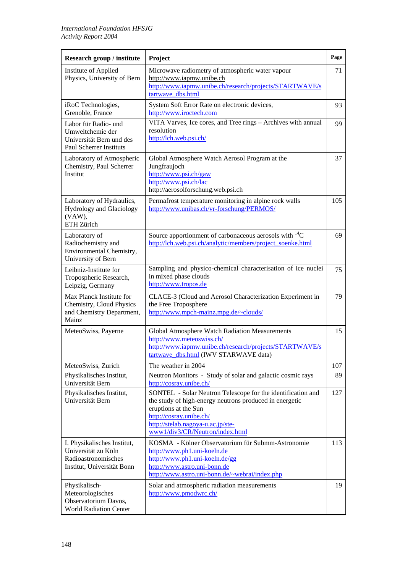| <b>Research group / institute</b>                                                                       | Project                                                                                                                                                                                                                                           | Page |
|---------------------------------------------------------------------------------------------------------|---------------------------------------------------------------------------------------------------------------------------------------------------------------------------------------------------------------------------------------------------|------|
| Institute of Applied<br>Physics, University of Bern                                                     | Microwave radiometry of atmospheric water vapour<br>http://www.iapmw.unibe.ch<br>http://www.iapmw.unibe.ch/research/projects/STARTWAVE/s<br>tartwave_dbs.html                                                                                     | 71   |
| iRoC Technologies,<br>Grenoble, France                                                                  | System Soft Error Rate on electronic devices,<br>http://www.iroctech.com                                                                                                                                                                          | 93   |
| Labor für Radio- und<br>Umweltchemie der<br>Universität Bern und des<br><b>Paul Scherrer Instituts</b>  | VITA Varves, Ice cores, and Tree rings - Archives with annual<br>resolution<br>http://lch.web.psi.ch/                                                                                                                                             | 99   |
| Laboratory of Atmospheric<br>Chemistry, Paul Scherrer<br>Institut                                       | Global Atmosphere Watch Aerosol Program at the<br>Jungfraujoch<br>http://www.psi.ch/gaw<br>http://www.psi.ch/lac<br>http://aerosolforschung.web.psi.ch                                                                                            | 37   |
| Laboratory of Hydraulics,<br><b>Hydrology and Glaciology</b><br>(VAW),<br>ETH Zürich                    | Permafrost temperature monitoring in alpine rock walls<br>http://www.unibas.ch/vr-forschung/PERMOS/                                                                                                                                               | 105  |
| Laboratory of<br>Radiochemistry and<br>Environmental Chemistry,<br>University of Bern                   | Source apportionment of carbonaceous aerosols with ${}^{14}C$<br>http://lch.web.psi.ch/analytic/members/project_soenke.html                                                                                                                       | 69   |
| Leibniz-Institute for<br>Tropospheric Research,<br>Leipzig, Germany                                     | Sampling and physico-chemical characterisation of ice nuclei<br>in mixed phase clouds<br>http://www.tropos.de                                                                                                                                     | 75   |
| Max Planck Institute for<br>Chemistry, Cloud Physics<br>and Chemistry Department,<br>Mainz              | CLACE-3 (Cloud and Aerosol Characterization Experiment in<br>the Free Troposphere<br>http://www.mpch-mainz.mpg.de/~clouds/                                                                                                                        | 79   |
| MeteoSwiss, Payerne                                                                                     | Global Atmosphere Watch Radiation Measurements<br>http://www.meteoswiss.ch/<br>http://www.iapmw.unibe.ch/research/projects/STARTWAVE/s<br>tartwave dbs.html (IWV STARWAVE data)                                                                   | 15   |
| MeteoSwiss, Zurich                                                                                      | The weather in 2004                                                                                                                                                                                                                               | 107  |
| Physikalisches Institut,<br>Universität Bern                                                            | Neutron Monitors - Study of solar and galactic cosmic rays<br>http://cosray.unibe.ch/                                                                                                                                                             | 89   |
| Physikalisches Institut,<br>Universität Bern                                                            | SONTEL - Solar Neutron Telescope for the identification and<br>the study of high-energy neutrons produced in energetic<br>eruptions at the Sun<br>http://cosray.unibe.ch/<br>http://stelab.nagoya-u.ac.jp/ste-<br>www1/div3/CR/Neutron/index.html | 127  |
| I. Physikalisches Institut,<br>Universität zu Köln<br>Radioastronomisches<br>Institut, Universität Bonn | KOSMA - Kölner Observatorium für Submm-Astronomie<br>http://www.ph1.uni-koeln.de<br>http://www.ph1.uni-koeln.de/gg<br>http://www.astro.uni-bonn.de<br>http://www.astro.uni-bonn.de/~webrai/index.php                                              | 113  |
| Physikalisch-<br>Meteorologisches<br>Observatorium Davos,<br><b>World Radiation Center</b>              | Solar and atmospheric radiation measurements<br>http://www.pmodwrc.ch/                                                                                                                                                                            | 19   |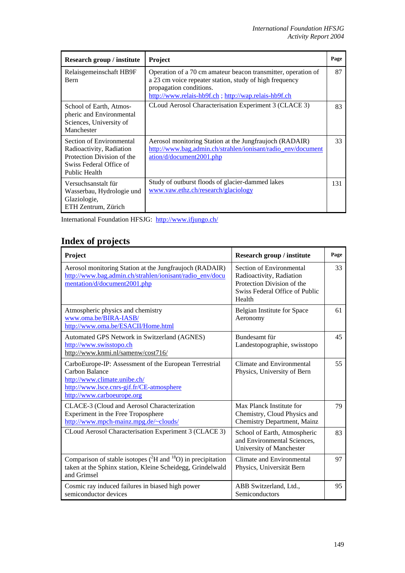| Research group / institute                                                                                                     | <b>Project</b>                                                                                                                                                                                              | Page |
|--------------------------------------------------------------------------------------------------------------------------------|-------------------------------------------------------------------------------------------------------------------------------------------------------------------------------------------------------------|------|
| Relaisgemeinschaft HB9F<br><b>B</b> ern                                                                                        | Operation of a 70 cm amateur beacon transmitter, operation of<br>a 23 cm voice repeater station, study of high frequency<br>propagation conditions.<br>http://www.relais-hb9f.ch; http://wap.relais-hb9f.ch | 87   |
| School of Earth, Atmos-<br>pheric and Environmental<br>Sciences, University of<br>Manchester                                   | CLoud Aerosol Characterisation Experiment 3 (CLACE 3)                                                                                                                                                       | 83   |
| Section of Environmental<br>Radioactivity, Radiation<br>Protection Division of the<br>Swiss Federal Office of<br>Public Health | Aerosol monitoring Station at the Jungfraujoch (RADAIR)<br>http://www.bag.admin.ch/strahlen/ionisant/radio_env/document<br>ation/d/document2001.php                                                         | 33   |
| Versuchsanstalt für<br>Wasserbau, Hydrologie und<br>Glaziologie,<br>ETH Zentrum, Zürich                                        | Study of outburst floods of glacier-dammed lakes<br>www.vaw.ethz.ch/research/glaciology                                                                                                                     | 131  |

International Foundation HFSJG: <http://www.ifjungo.ch/>

## **Index of projects**

| Project                                                                                                                                                                                    | Research group / institute                                                                                                     | Page |
|--------------------------------------------------------------------------------------------------------------------------------------------------------------------------------------------|--------------------------------------------------------------------------------------------------------------------------------|------|
| Aerosol monitoring Station at the Jungfraujoch (RADAIR)<br>http://www.bag.admin.ch/strahlen/ionisant/radio_env/docu<br>mentation/d/document2001.php                                        | Section of Environmental<br>Radioactivity, Radiation<br>Protection Division of the<br>Swiss Federal Office of Public<br>Health | 33   |
| Atmospheric physics and chemistry<br>www.oma.be/BIRA-IASB/<br>http://www.oma.be/ESACII/Home.html                                                                                           | Belgian Institute for Space<br>Aeronomy                                                                                        | 61   |
| Automated GPS Network in Switzerland (AGNES)<br>http://www.swisstopo.ch<br>http://www.knmi.nl/samenw/cost716/                                                                              | Bundesamt für<br>Landestopographie, swisstopo                                                                                  | 45   |
| CarboEurope-IP: Assessment of the European Terrestrial<br><b>Carbon Balance</b><br>http://www.climate.unibe.ch/<br>http://www.lsce.cnrs-gif.fr/CE-atmosphere<br>http://www.carboeurope.org | Climate and Environmental<br>Physics, University of Bern                                                                       | 55   |
| CLACE-3 (Cloud and Aerosol Characterization<br>Experiment in the Free Troposphere<br>http://www.mpch-mainz.mpg.de/~clouds/                                                                 | Max Planck Institute for<br>Chemistry, Cloud Physics and<br>Chemistry Department, Mainz                                        | 79   |
| CLoud Aerosol Characterisation Experiment 3 (CLACE 3)                                                                                                                                      | School of Earth, Atmospheric<br>and Environmental Sciences,<br>University of Manchester                                        | 83   |
| Comparison of stable isotopes $(^{2}H$ and $^{18}O$ ) in precipitation<br>taken at the Sphinx station, Kleine Scheidegg, Grindelwald<br>and Grimsel                                        | Climate and Environmental<br>Physics, Universität Bern                                                                         | 97   |
| Cosmic ray induced failures in biased high power<br>semiconductor devices                                                                                                                  | ABB Switzerland, Ltd.,<br>Semiconductors                                                                                       | 95   |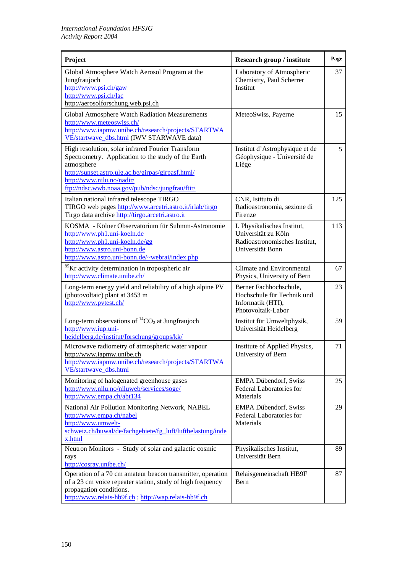| Project                                                                                                                                                                                                                                                      | Research group / institute                                                                              | Page |
|--------------------------------------------------------------------------------------------------------------------------------------------------------------------------------------------------------------------------------------------------------------|---------------------------------------------------------------------------------------------------------|------|
| Global Atmosphere Watch Aerosol Program at the<br>Jungfraujoch<br>http://www.psi.ch/gaw<br>http://www.psi.ch/lac<br>http://aerosolforschung.web.psi.ch                                                                                                       | Laboratory of Atmospheric<br>Chemistry, Paul Scherrer<br>Institut                                       | 37   |
| Global Atmosphere Watch Radiation Measurements<br>http://www.meteoswiss.ch/<br>http://www.iapmw.unibe.ch/research/projects/STARTWA<br>VE/startwave_dbs.html (IWV STARWAVE data)                                                                              | MeteoSwiss, Payerne                                                                                     | 15   |
| High resolution, solar infrared Fourier Transform<br>Spectrometry. Application to the study of the Earth<br>atmosphere<br>http://sunset.astro.ulg.ac.be/girpas/girpasf.html/<br>http://www.nilu.no/nadir/<br>ftp://ndsc.wwb.noaa.gov/pub/ndsc/jungfrau/ftir/ | Institut d'Astrophysique et de<br>Géophysique - Université de<br>Liège                                  | 5    |
| Italian national infrared telescope TIRGO<br>TIRGO web pages http://www.arcetri.astro.it/irlab/tirgo<br>Tirgo data archive http://tirgo.arcetri.astro.it                                                                                                     | CNR, Istituto di<br>Radioastronomia, sezione di<br>Firenze                                              | 125  |
| KOSMA - Kölner Observatorium für Submm-Astronomie<br>http://www.ph1.uni-koeln.de<br>http://www.ph1.uni-koeln.de/gg<br>http://www.astro.uni-bonn.de<br>http://www.astro.uni-bonn.de/~webrai/index.php                                                         | I. Physikalisches Institut,<br>Universität zu Köln<br>Radioastronomisches Institut,<br>Universität Bonn | 113  |
| <sup>85</sup> Kr activity determination in tropospheric air<br>http://www.climate.unibe.ch/                                                                                                                                                                  | Climate and Environmental<br>Physics, University of Bern                                                | 67   |
| Long-term energy yield and reliability of a high alpine PV<br>(photovoltaic) plant at 3453 m<br>http://www.pvtest.ch/                                                                                                                                        | Berner Fachhochschule,<br>Hochschule für Technik und<br>Informatik (HTI),<br>Photovoltaik-Labor         | 23   |
| Long-term observations of ${}^{14}CO_2$ at Jungfraujoch<br>http://www.iup.uni-<br>heidelberg.de/institut/forschung/groups/kk/                                                                                                                                | Institut für Umweltphysik,<br>Universität Heidelberg                                                    | 59   |
| Microwave radiometry of atmospheric water vapour<br>http://www.iapmw.unibe.ch<br>http://www.iapmw.unibe.ch/research/projects/STARTWA<br>VE/startwave dbs.html                                                                                                | Institute of Applied Physics,<br>University of Bern                                                     | 71   |
| Monitoring of halogenated greenhouse gases<br>http://www.nilu.no/niluweb/services/soge/<br>http://www.empa.ch/abt134                                                                                                                                         | <b>EMPA Dübendorf, Swiss</b><br>Federal Laboratories for<br>Materials                                   | 25   |
| National Air Pollution Monitoring Network, NABEL<br>http://www.empa.ch/nabel<br>http://www.umwelt-<br>schweiz.ch/buwal/de/fachgebiete/fg_luft/luftbelastung/inde<br>x.html                                                                                   | <b>EMPA Dübendorf, Swiss</b><br>Federal Laboratories for<br>Materials                                   | 29   |
| Neutron Monitors - Study of solar and galactic cosmic<br>rays<br>http://cosray.unibe.ch/                                                                                                                                                                     | Physikalisches Institut,<br>Universität Bern                                                            | 89   |
| Operation of a 70 cm amateur beacon transmitter, operation<br>of a 23 cm voice repeater station, study of high frequency<br>propagation conditions.<br>http://www.relais-hb9f.ch; http://wap.relais-hb9f.ch                                                  | Relaisgemeinschaft HB9F<br>Bern                                                                         | 87   |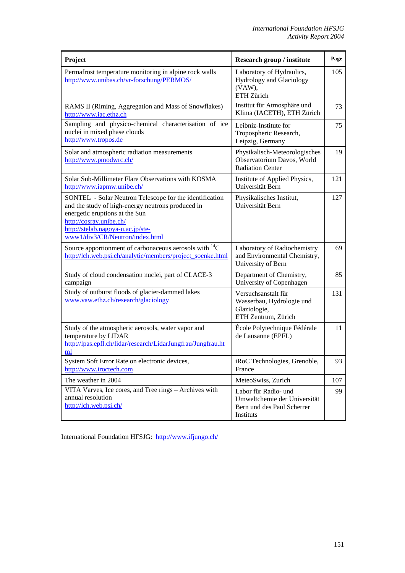| Project                                                                                                                                                                                                                                           | Research group / institute                                                                      | Page |
|---------------------------------------------------------------------------------------------------------------------------------------------------------------------------------------------------------------------------------------------------|-------------------------------------------------------------------------------------------------|------|
| Permafrost temperature monitoring in alpine rock walls<br>http://www.unibas.ch/vr-forschung/PERMOS/                                                                                                                                               | Laboratory of Hydraulics,<br>Hydrology and Glaciology<br>(VAW),<br>ETH Zürich                   | 105  |
| RAMS II (Riming, Aggregation and Mass of Snowflakes)<br>http://www.iac.ethz.ch                                                                                                                                                                    | Institut für Atmosphäre und<br>Klima (IACETH), ETH Zürich                                       | 73   |
| Sampling and physico-chemical characterisation of ice<br>nuclei in mixed phase clouds<br>http://www.tropos.de                                                                                                                                     | Leibniz-Institute for<br>Tropospheric Research,<br>Leipzig, Germany                             | 75   |
| Solar and atmospheric radiation measurements<br>http://www.pmodwrc.ch/                                                                                                                                                                            | Physikalisch-Meteorologisches<br>Observatorium Davos, World<br><b>Radiation Center</b>          | 19   |
| Solar Sub-Millimeter Flare Observations with KOSMA<br>http://www.iapmw.unibe.ch/                                                                                                                                                                  | Institute of Applied Physics,<br>Universität Bern                                               | 121  |
| SONTEL - Solar Neutron Telescope for the identification<br>and the study of high-energy neutrons produced in<br>energetic eruptions at the Sun<br>http://cosray.unibe.ch/<br>http://stelab.nagoya-u.ac.jp/ste-<br>www1/div3/CR/Neutron/index.html | Physikalisches Institut,<br>Universität Bern                                                    | 127  |
| Source apportionment of carbonaceous aerosols with ${}^{14}C$<br>http://lch.web.psi.ch/analytic/members/project_soenke.html                                                                                                                       | Laboratory of Radiochemistry<br>and Environmental Chemistry,<br>University of Bern              | 69   |
| Study of cloud condensation nuclei, part of CLACE-3<br>campaign                                                                                                                                                                                   | Department of Chemistry,<br>University of Copenhagen                                            | 85   |
| Study of outburst floods of glacier-dammed lakes<br>www.vaw.ethz.ch/research/glaciology                                                                                                                                                           | Versuchsanstalt für<br>Wasserbau, Hydrologie und<br>Glaziologie,<br>ETH Zentrum, Zürich         | 131  |
| Study of the atmospheric aerosols, water vapor and<br>temperature by LIDAR<br>http://lpas.epfl.ch/lidar/research/LidarJungfrau/Jungfrau.ht<br>ml                                                                                                  | École Polytechnique Fédérale<br>de Lausanne (EPFL)                                              | 11   |
| System Soft Error Rate on electronic devices,<br>http://www.iroctech.com                                                                                                                                                                          | iRoC Technologies, Grenoble,<br>France                                                          | 93   |
| The weather in 2004                                                                                                                                                                                                                               | MeteoSwiss, Zurich                                                                              | 107  |
| VITA Varves, Ice cores, and Tree rings - Archives with<br>annual resolution<br>http://lch.web.psi.ch/                                                                                                                                             | Labor für Radio- und<br>Umweltchemie der Universität<br>Bern und des Paul Scherrer<br>Instituts | 99   |

International Foundation HFSJG: <http://www.ifjungo.ch/>